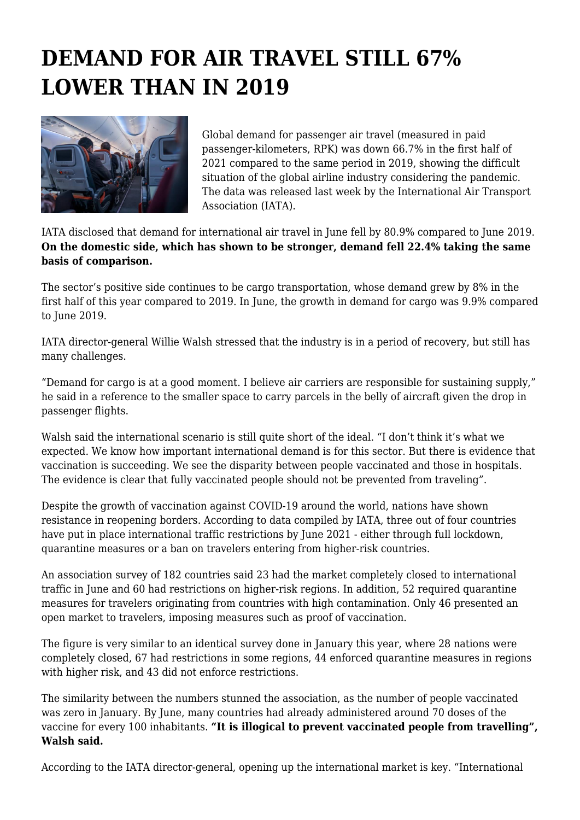## **DEMAND FOR AIR TRAVEL STILL 67% LOWER THAN IN 2019**



Global demand for passenger air travel (measured in paid passenger-kilometers, RPK) was down 66.7% in the first half of 2021 compared to the same period in 2019, showing the difficult situation of the global airline industry considering the pandemic. The data was released last week by the International Air Transport Association (IATA).

IATA disclosed that demand for international air travel in June fell by 80.9% compared to June 2019. **On the domestic side, which has shown to be stronger, demand fell 22.4% taking the same basis of comparison.**

The sector's positive side continues to be cargo transportation, whose demand grew by 8% in the first half of this year compared to 2019. In June, the growth in demand for cargo was 9.9% compared to June 2019.

IATA director-general Willie Walsh stressed that the industry is in a period of recovery, but still has many challenges.

"Demand for cargo is at a good moment. I believe air carriers are responsible for sustaining supply," he said in a reference to the smaller space to carry parcels in the belly of aircraft given the drop in passenger flights.

Walsh said the international scenario is still quite short of the ideal. "I don't think it's what we expected. We know how important international demand is for this sector. But there is evidence that vaccination is succeeding. We see the disparity between people vaccinated and those in hospitals. The evidence is clear that fully vaccinated people should not be prevented from traveling".

Despite the growth of vaccination against COVID-19 around the world, nations have shown resistance in reopening borders. According to data compiled by IATA, three out of four countries have put in place international traffic restrictions by June 2021 - either through full lockdown, quarantine measures or a ban on travelers entering from higher-risk countries.

An association survey of 182 countries said 23 had the market completely closed to international traffic in June and 60 had restrictions on higher-risk regions. In addition, 52 required quarantine measures for travelers originating from countries with high contamination. Only 46 presented an open market to travelers, imposing measures such as proof of vaccination.

The figure is very similar to an identical survey done in January this year, where 28 nations were completely closed, 67 had restrictions in some regions, 44 enforced quarantine measures in regions with higher risk, and 43 did not enforce restrictions.

The similarity between the numbers stunned the association, as the number of people vaccinated was zero in January. By June, many countries had already administered around 70 doses of the vaccine for every 100 inhabitants. **"It is illogical to prevent vaccinated people from travelling", Walsh said.**

According to the IATA director-general, opening up the international market is key. "International